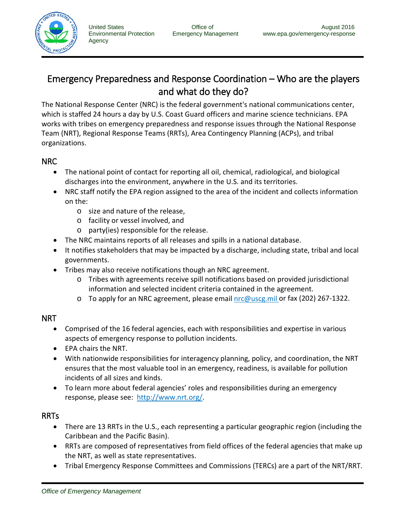

Agency

# Emergency Preparedness and Response Coordination – Who are the players and what do they do?

The National Response Center [\(NRC\)](http://www.nrc.uscg.mil/) is the federal government's national communications center, which is staffed 24 hours a day by U.S. Coast Guard officers and marine science technicians. EPA works with tribes on emergency preparedness and response issues through the National Response Team (NRT), Regional Response Teams (RRTs), Area Contingency Planning (ACPs), and tribal organizations.

#### NRC

- The national point of contact for reporting all oil, chemical, radiological, and biological discharges into the environment, anywhere in the U.S. and its territories.
- NRC staff notify the EPA region assigned to the area of the incident and collects information on the:
	- o size and nature of the release,
	- o facility or vessel involved, and
	- o party(ies) responsible for the release.
- The NRC maintains reports of all releases and spills in a national database.
- It notifies stakeholders that may be impacted by a discharge, including state, tribal and local governments.
- Tribes may also receive notifications though an NRC agreement.
	- o Tribes with agreements receive spill notifications based on provided jurisdictional information and selected incident criteria contained in the agreement.
	- o To apply for an NRC agreement, please email [nrc@uscg.mil](mailto:nrc@uscg.mil) or fax (202) 267-1322.

## NRT

- Comprised of the 16 federal agencies, each with responsibilities and expertise in various aspects of emergency response to pollution incidents.
- EPA chairs the NRT.
- With nationwide responsibilities for interagency planning, policy, and coordination, the NRT ensures that the most valuable tool in an emergency, readiness, is available for pollution incidents of all sizes and kinds.
- To learn more about federal agencies' roles and responsibilities during an emergency response, please see: [http://www.nrt.org/.](http://www.nrt.org/)

## RRTs

- There are 13 RRTs in the U.S., each representing a particular geographic region (including the Caribbean and the Pacific Basin).
- RRTs are composed of representatives from field offices of the federal agencies that make up the NRT, as well as state representatives.
- Tribal Emergency Response Committees and Commissions (TERCs) are a part of the NRT/RRT.